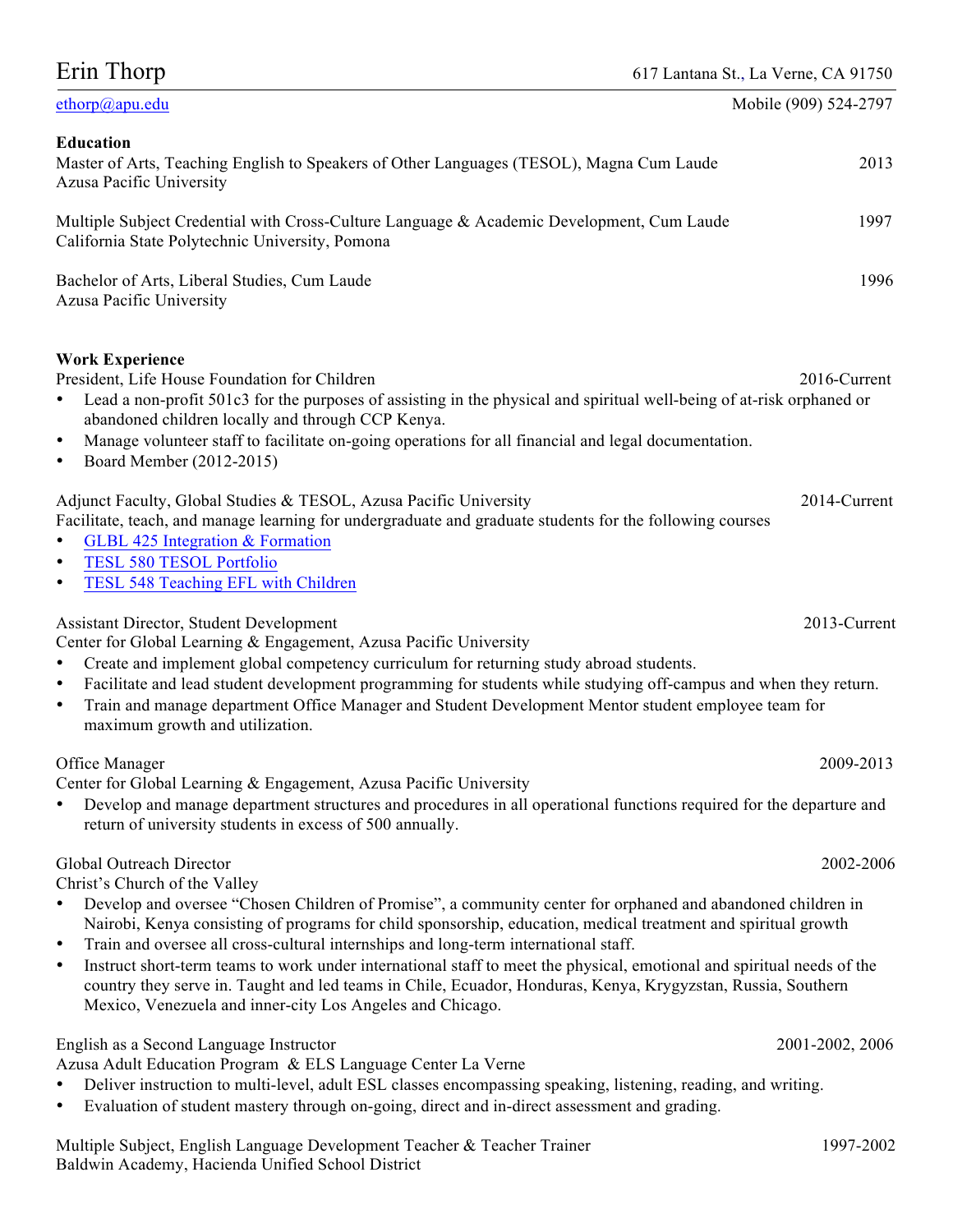| 617 Lantana St., La Verne, CA 91750 |  |  |  |  |
|-------------------------------------|--|--|--|--|
|-------------------------------------|--|--|--|--|

| Erin Thorp<br>617 Lantana St., La Verne, CA 91750                                                                                                                                                                                                                                                                                                                                                                                                                                                                                                                                                                                                                                                                               |                       |  |  |
|---------------------------------------------------------------------------------------------------------------------------------------------------------------------------------------------------------------------------------------------------------------------------------------------------------------------------------------------------------------------------------------------------------------------------------------------------------------------------------------------------------------------------------------------------------------------------------------------------------------------------------------------------------------------------------------------------------------------------------|-----------------------|--|--|
| ethorp@apu.edu                                                                                                                                                                                                                                                                                                                                                                                                                                                                                                                                                                                                                                                                                                                  | Mobile (909) 524-2797 |  |  |
| <b>Education</b><br>Master of Arts, Teaching English to Speakers of Other Languages (TESOL), Magna Cum Laude<br>Azusa Pacific University                                                                                                                                                                                                                                                                                                                                                                                                                                                                                                                                                                                        | 2013                  |  |  |
| Multiple Subject Credential with Cross-Culture Language & Academic Development, Cum Laude<br>California State Polytechnic University, Pomona                                                                                                                                                                                                                                                                                                                                                                                                                                                                                                                                                                                    | 1997                  |  |  |
| Bachelor of Arts, Liberal Studies, Cum Laude<br>Azusa Pacific University                                                                                                                                                                                                                                                                                                                                                                                                                                                                                                                                                                                                                                                        | 1996                  |  |  |
| <b>Work Experience</b><br>President, Life House Foundation for Children<br>Lead a non-profit 501c3 for the purposes of assisting in the physical and spiritual well-being of at-risk orphaned or<br>abandoned children locally and through CCP Kenya.<br>Manage volunteer staff to facilitate on-going operations for all financial and legal documentation.<br>$\bullet$<br>Board Member (2012-2015)<br>$\bullet$                                                                                                                                                                                                                                                                                                              | 2016-Current          |  |  |
| Adjunct Faculty, Global Studies & TESOL, Azusa Pacific University<br>Facilitate, teach, and manage learning for undergraduate and graduate students for the following courses<br>GLBL 425 Integration & Formation<br><b>TESL 580 TESOL Portfolio</b><br>$\bullet$<br>TESL 548 Teaching EFL with Children                                                                                                                                                                                                                                                                                                                                                                                                                        | 2014-Current          |  |  |
| Assistant Director, Student Development<br>Center for Global Learning & Engagement, Azusa Pacific University<br>Create and implement global competency curriculum for returning study abroad students.<br>$\bullet$<br>Facilitate and lead student development programming for students while studying off-campus and when they return.<br>$\bullet$<br>Train and manage department Office Manager and Student Development Mentor student employee team for<br>$\bullet$<br>maximum growth and utilization.                                                                                                                                                                                                                     | 2013-Current          |  |  |
| Office Manager<br>2009-2013<br>Center for Global Learning & Engagement, Azusa Pacific University<br>Develop and manage department structures and procedures in all operational functions required for the departure and<br>return of university students in excess of 500 annually.                                                                                                                                                                                                                                                                                                                                                                                                                                             |                       |  |  |
| Global Outreach Director<br>2002-2006<br>Christ's Church of the Valley<br>Develop and oversee "Chosen Children of Promise", a community center for orphaned and abandoned children in<br>Nairobi, Kenya consisting of programs for child sponsorship, education, medical treatment and spiritual growth<br>Train and oversee all cross-cultural internships and long-term international staff.<br>$\bullet$<br>Instruct short-term teams to work under international staff to meet the physical, emotional and spiritual needs of the<br>$\bullet$<br>country they serve in. Taught and led teams in Chile, Ecuador, Honduras, Kenya, Krygyzstan, Russia, Southern<br>Mexico, Venezuela and inner-city Los Angeles and Chicago. |                       |  |  |
| English as a Second Language Instructor<br>Azusa Adult Education Program & ELS Language Center La Verne<br>Deliver instruction to multi-level, adult ESL classes encompassing speaking, listening, reading, and writing.<br>Evaluation of student mastery through on-going, direct and in-direct assessment and grading.                                                                                                                                                                                                                                                                                                                                                                                                        | 2001-2002, 2006       |  |  |
|                                                                                                                                                                                                                                                                                                                                                                                                                                                                                                                                                                                                                                                                                                                                 | 0.07.00               |  |  |

Multiple Subject, English Language Development Teacher & Teacher Trainer 1997-2002 Baldwin Academy, Hacienda Unified School District